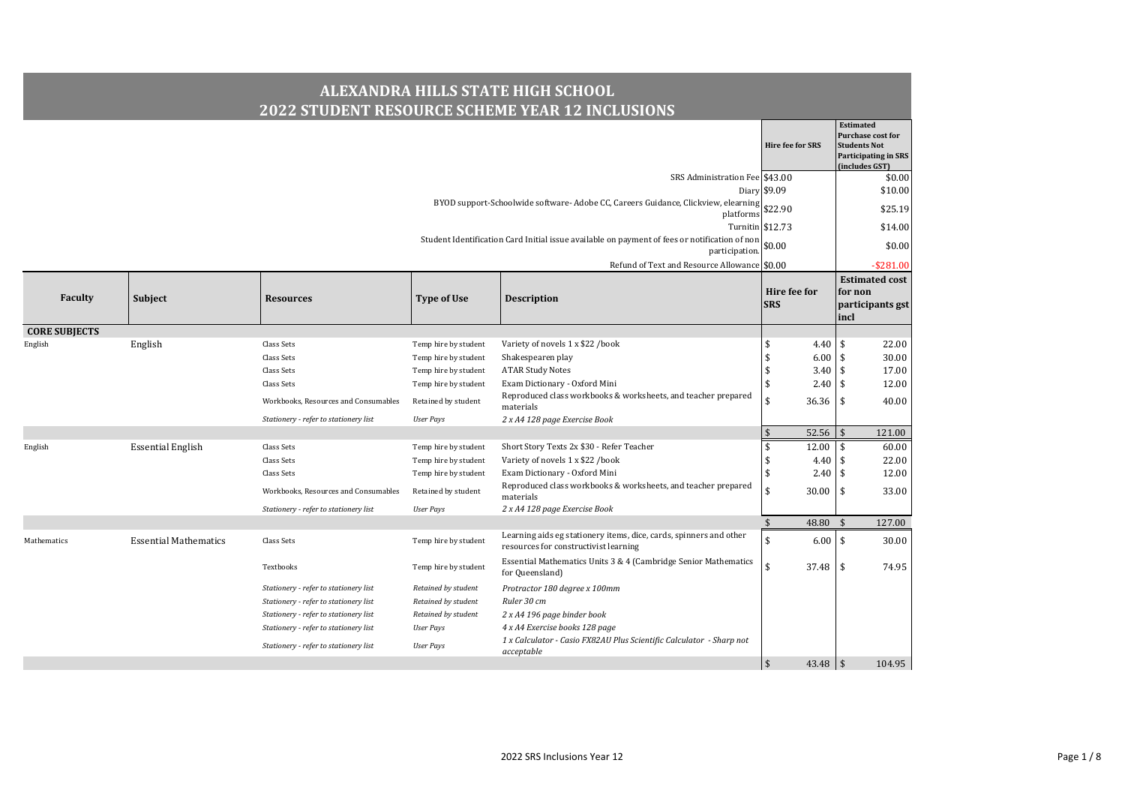|                      |                              |                                       |                      | <b>ALEXANDRA HILLS STATE HIGH SCHOOL</b><br><b>2022 STUDENT RESOURCE SCHEME YEAR 12 INCLUSIONS</b>              |                             |                                                                                                                      |
|----------------------|------------------------------|---------------------------------------|----------------------|-----------------------------------------------------------------------------------------------------------------|-----------------------------|----------------------------------------------------------------------------------------------------------------------|
|                      |                              |                                       |                      |                                                                                                                 | <b>Hire fee for SRS</b>     | <b>Estimated</b><br><b>Purchase cost for</b><br><b>Students Not</b><br><b>Participating in SRS</b><br>(includes GST) |
|                      |                              |                                       |                      | SRS Administration Fee \$43.00                                                                                  |                             | \$0.00                                                                                                               |
|                      |                              |                                       |                      |                                                                                                                 | Diary \$9.09                | \$10.00                                                                                                              |
|                      |                              |                                       |                      | BYOD support-Schoolwide software-Adobe CC, Careers Guidance, Clickview, elearning<br>platforms                  | \$22.90                     | \$25.19                                                                                                              |
|                      |                              |                                       |                      |                                                                                                                 | Turnitin \$12.73            | \$14.00                                                                                                              |
|                      |                              |                                       |                      | Student Identification Card Initial issue available on payment of fees or notification of non<br>participation. | \$0.00                      | \$0.00                                                                                                               |
|                      |                              |                                       |                      | Refund of Text and Resource Allowance \$0.00                                                                    |                             | $-$ \$281.00                                                                                                         |
| Faculty              | Subject                      | <b>Resources</b>                      | <b>Type of Use</b>   | <b>Description</b>                                                                                              | Hire fee for<br><b>SRS</b>  | <b>Estimated cost</b><br>for non<br>participants gst<br>incl                                                         |
| <b>CORE SUBJECTS</b> |                              |                                       |                      |                                                                                                                 |                             |                                                                                                                      |
| English              | English                      | Class Sets                            | Temp hire by student | Variety of novels 1 x \$22 /book                                                                                | \$<br>4.40                  | 22.00<br>\$                                                                                                          |
|                      |                              | Class Sets                            | Temp hire by student | Shakespearen play                                                                                               | $\mathbf{\hat{S}}$<br>6.00  | \$<br>30.00                                                                                                          |
|                      |                              | Class Sets                            | Temp hire by student | <b>ATAR Study Notes</b>                                                                                         | $\mathbf{\hat{S}}$          | $3.40 \,$ \$<br>17.00                                                                                                |
|                      |                              | Class Sets                            | Temp hire by student | Exam Dictionary - Oxford Mini                                                                                   | \$<br>2.40                  | 12.00<br>\$                                                                                                          |
|                      |                              | Workbooks, Resources and Consumables  | Retained by student  | Reproduced class workbooks & worksheets, and teacher prepared<br>materials                                      | \$<br>$36.36$ \ \ \$        | 40.00                                                                                                                |
|                      |                              | Stationery - refer to stationery list | <b>User Pays</b>     | 2 x A4 128 page Exercise Book                                                                                   |                             |                                                                                                                      |
|                      |                              |                                       |                      |                                                                                                                 | 52.56<br>$\mathbf{\hat{S}}$ | 121.00                                                                                                               |
| English              | <b>Essential English</b>     | Class Sets                            | Temp hire by student | Short Story Texts 2x \$30 - Refer Teacher                                                                       | \$<br>12.00                 | 60.00<br>\$                                                                                                          |
|                      |                              | Class Sets                            | Temp hire by student | Variety of novels 1 x \$22 /book                                                                                | \$<br>4.40                  | \$<br>22.00                                                                                                          |
|                      |                              | Class Sets                            | Temp hire by student | Exam Dictionary - Oxford Mini                                                                                   | \$                          | $2.40 \,$ \$<br>12.00                                                                                                |
|                      |                              | Workbooks, Resources and Consumables  | Retained by student  | Reproduced class workbooks & worksheets, and teacher prepared<br>materials                                      | \$<br>30.00                 | 33.00<br>-\$                                                                                                         |
|                      |                              | Stationery - refer to stationery list | <b>User Pays</b>     | 2 x A4 128 page Exercise Book                                                                                   |                             |                                                                                                                      |
|                      |                              |                                       |                      |                                                                                                                 | $\sqrt{5}$<br>48.80         | 127.00<br>\$                                                                                                         |
| Mathematics          | <b>Essential Mathematics</b> | Class Sets                            | Temp hire by student | Learning aids eg stationery items, dice, cards, spinners and other<br>resources for constructivist learning     | \$                          | $6.00$ \$<br>30.00                                                                                                   |
|                      |                              | Textbooks                             | Temp hire by student | Essential Mathematics Units 3 & 4 (Cambridge Senior Mathematics<br>for Queensland)                              | $\mathbf{\hat{S}}$<br>37.48 | \$<br>74.95                                                                                                          |
|                      |                              | Stationery - refer to stationery list | Retained by student  | Protractor 180 degree x 100mm                                                                                   |                             |                                                                                                                      |
|                      |                              | Stationery - refer to stationery list | Retained by student  | Ruler 30 cm                                                                                                     |                             |                                                                                                                      |
|                      |                              | Stationery - refer to stationery list | Retained by student  | 2 x A4 196 page binder book                                                                                     |                             |                                                                                                                      |
|                      |                              | Stationery - refer to stationery list | User Pays            | 4 x A4 Exercise books 128 page                                                                                  |                             |                                                                                                                      |
|                      |                              | Stationery - refer to stationery list | <b>User Pays</b>     | 1 x Calculator - Casio FX82AU Plus Scientific Calculator - Sharp not<br>acceptable                              |                             |                                                                                                                      |
|                      |                              |                                       |                      |                                                                                                                 | $\sqrt{2}$<br>$43.48$   \$  | 104.95                                                                                                               |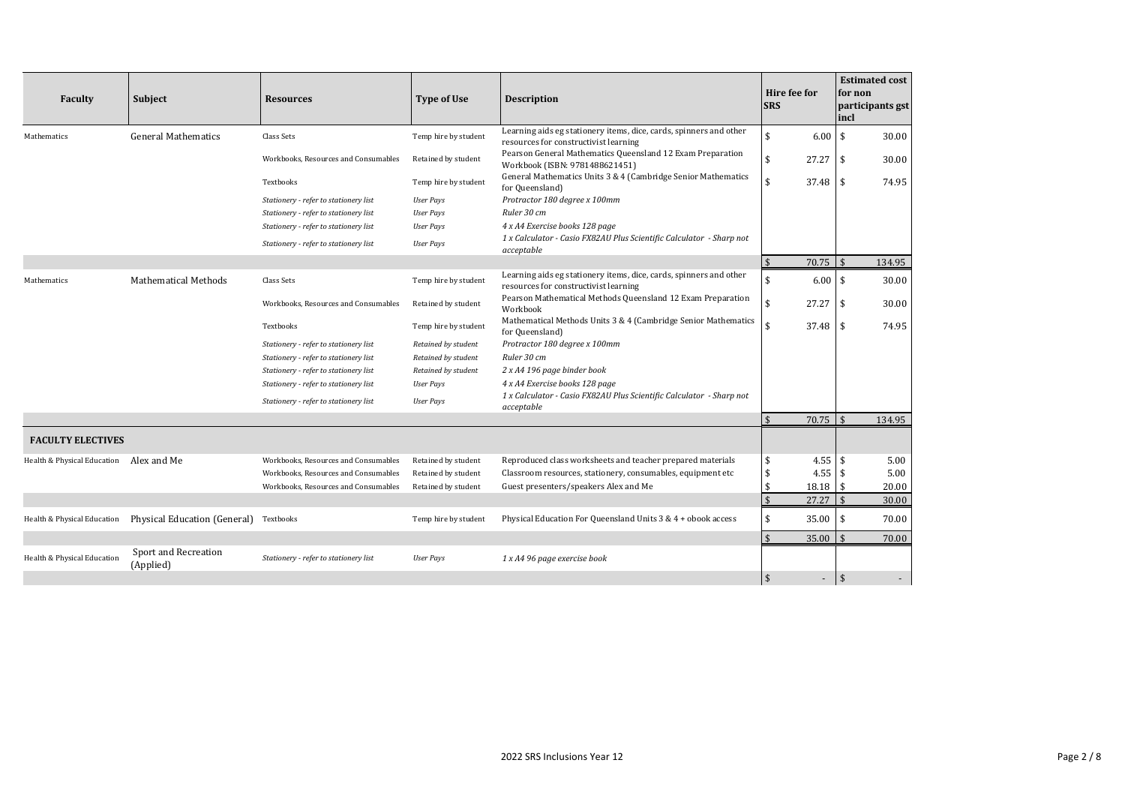| Faculty                     | Subject                                | <b>Resources</b>                      | <b>Type of Use</b>   | <b>Description</b>                                                                                          | Hire fee for<br><b>SRS</b>  | <b>Estimated cost</b><br>for non<br>participants gst<br>incl |
|-----------------------------|----------------------------------------|---------------------------------------|----------------------|-------------------------------------------------------------------------------------------------------------|-----------------------------|--------------------------------------------------------------|
| Mathematics                 | <b>General Mathematics</b>             | Class Sets                            | Temp hire by student | Learning aids eg stationery items, dice, cards, spinners and other<br>resources for constructivist learning | \$<br>6.00                  | <b>S</b><br>30.00                                            |
|                             |                                        | Workbooks, Resources and Consumables  | Retained by student  | Pearson General Mathematics Queensland 12 Exam Preparation<br>Workbook (ISBN: 9781488621451)                | \$<br>27.27                 | $\mathsf{\overline{S}}$<br>30.00                             |
|                             |                                        | Textbooks                             | Temp hire by student | General Mathematics Units 3 & 4 (Cambridge Senior Mathematics<br>for Queensland)                            | \$<br>37.48                 | 74.95<br>l \$                                                |
|                             |                                        | Stationery - refer to stationery list | <b>User Pays</b>     | Protractor 180 degree x 100mm                                                                               |                             |                                                              |
|                             |                                        | Stationery - refer to stationery list | <b>User Pays</b>     | Ruler 30 cm                                                                                                 |                             |                                                              |
|                             |                                        | Stationery - refer to stationery list | <b>User Pays</b>     | 4 x A4 Exercise books 128 page                                                                              |                             |                                                              |
|                             |                                        | Stationery - refer to stationery list | <b>User Pays</b>     | 1 x Calculator - Casio FX82AU Plus Scientific Calculator - Sharp not<br>acceptable                          |                             |                                                              |
|                             |                                        |                                       |                      |                                                                                                             | $\mathbf{\hat{s}}$<br>70.75 | $\mathfrak{F}$<br>134.95                                     |
| Mathematics                 | <b>Mathematical Methods</b>            | Class Sets                            | Temp hire by student | Learning aids eg stationery items, dice, cards, spinners and other<br>resources for constructivist learning | \$<br>6.00                  | l \$<br>30.00                                                |
|                             |                                        | Workbooks, Resources and Consumables  | Retained by student  | Pearson Mathematical Methods Queensland 12 Exam Preparation<br>Workbook                                     | \$<br>27.27                 | 30.00<br>-\$                                                 |
|                             |                                        | Textbooks                             | Temp hire by student | Mathematical Methods Units 3 & 4 (Cambridge Senior Mathematics<br>for Queensland)                           | \$<br>37.48                 | 74.95<br>l \$                                                |
|                             |                                        | Stationery - refer to stationery list | Retained by student  | Protractor 180 degree x 100mm                                                                               |                             |                                                              |
|                             |                                        | Stationery - refer to stationery list | Retained by student  | Ruler 30 cm                                                                                                 |                             |                                                              |
|                             |                                        | Stationery - refer to stationery list | Retained by student  | 2 x A4 196 page binder book                                                                                 |                             |                                                              |
|                             |                                        | Stationery - refer to stationery list | <b>User Pays</b>     | 4 x A4 Exercise books 128 page                                                                              |                             |                                                              |
|                             |                                        | Stationery - refer to stationery list | <b>User Pays</b>     | 1 x Calculator - Casio FX82AU Plus Scientific Calculator - Sharp not<br>acceptable                          |                             |                                                              |
|                             |                                        |                                       |                      |                                                                                                             | $\mathbf{\hat{S}}$<br>70.75 | $\sqrt{5}$<br>134.95                                         |
| <b>FACULTY ELECTIVES</b>    |                                        |                                       |                      |                                                                                                             |                             |                                                              |
| Health & Physical Education | Alex and Me                            | Workbooks, Resources and Consumables  | Retained by student  | Reproduced class worksheets and teacher prepared materials                                                  | \$<br>$4.55$ \$             | 5.00                                                         |
|                             |                                        | Workbooks, Resources and Consumables  | Retained by student  | Classroom resources, stationery, consumables, equipment etc                                                 | \$<br>4.55                  | 5.00                                                         |
|                             |                                        | Workbooks, Resources and Consumables  | Retained by student  | Guest presenters/speakers Alex and Me                                                                       | \$<br>18.18                 | \$<br>20.00                                                  |
|                             |                                        |                                       |                      |                                                                                                             | $\mathsf{\$}$<br>27.27      | 30.00                                                        |
| Health & Physical Education | Physical Education (General) Textbooks |                                       | Temp hire by student | Physical Education For Queensland Units 3 & 4 + obook access                                                | \$<br>35.00                 | -\$<br>70.00                                                 |
|                             |                                        |                                       |                      |                                                                                                             | $\mathbf{\hat{s}}$<br>35.00 | 70.00                                                        |
| Health & Physical Education | Sport and Recreation<br>(Applied)      | Stationery - refer to stationery list | <b>User Pays</b>     | 1 x A4 96 page exercise book                                                                                |                             |                                                              |
|                             |                                        |                                       |                      |                                                                                                             | $\frac{1}{2}$<br>٠          | $\mathbf{\hat{s}}$                                           |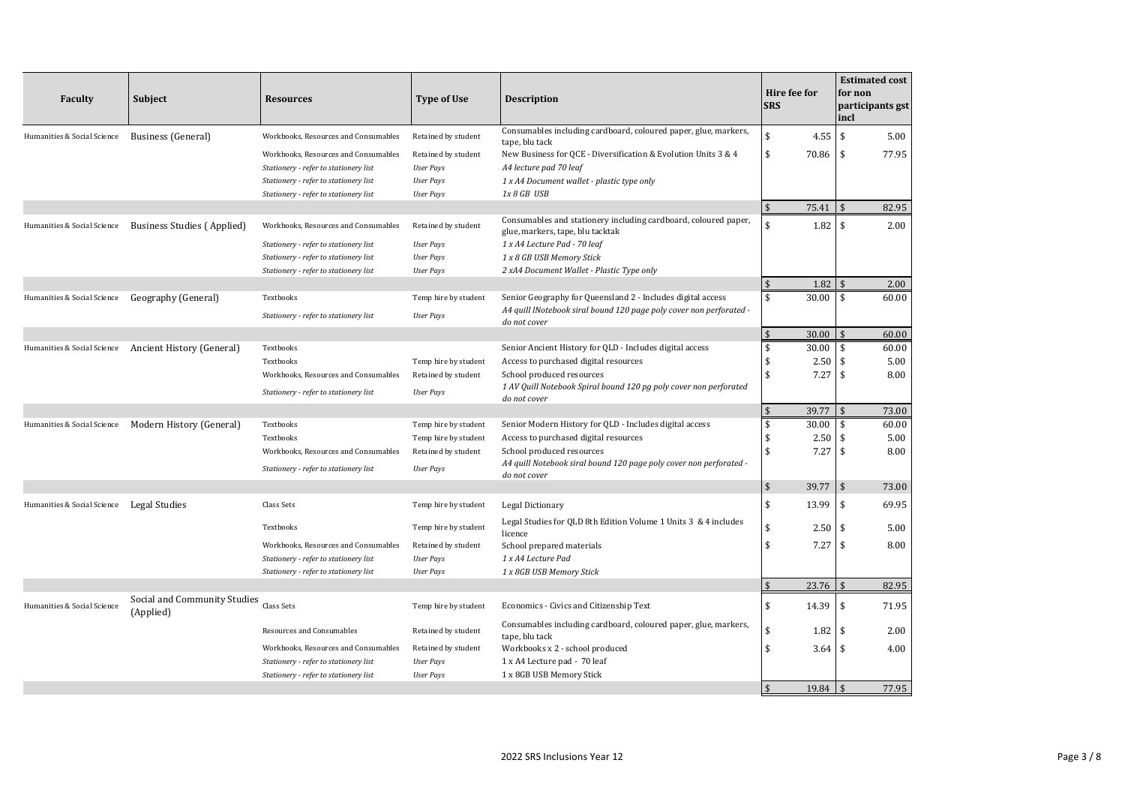| <b>Faculty</b>              | <b>Subject</b>                                        | <b>Resources</b>                                   | <b>Type of Use</b>                       | <b>Description</b>                                                                                                                 | Hire fee for<br><b>SRS</b>  |               | <b>Estimated cost</b><br>for non<br>participants gst<br>incl |
|-----------------------------|-------------------------------------------------------|----------------------------------------------------|------------------------------------------|------------------------------------------------------------------------------------------------------------------------------------|-----------------------------|---------------|--------------------------------------------------------------|
| Humanities & Social Science | <b>Business</b> (General)                             | Workbooks, Resources and Consumables               | Retained by student                      | Consumables including cardboard, coloured paper, glue, markers,                                                                    | \$                          | $4.55$ \$     | 5.00                                                         |
|                             |                                                       | Workbooks, Resources and Consumables               | Retained by student                      | tape, blu tack<br>New Business for QCE - Diversification & Evolution Units 3 & 4                                                   | \$<br>70.86                 |               | 77.95<br>\$                                                  |
|                             |                                                       | Stationery - refer to stationery list              | <b>User Pays</b>                         | A4 lecture pad 70 leaf                                                                                                             |                             |               |                                                              |
|                             |                                                       | Stationery - refer to stationery list              | <b>User Pays</b>                         | 1 x A4 Document wallet - plastic type only                                                                                         |                             |               |                                                              |
|                             |                                                       | Stationery - refer to stationery list              | <b>User Pays</b>                         | 1x 8 GB USB                                                                                                                        |                             |               |                                                              |
|                             |                                                       |                                                    |                                          |                                                                                                                                    | $\mathbf{\hat{S}}$<br>75.41 |               | 82.95                                                        |
| Humanities & Social Science | Business Studies (Applied)                            | Workbooks, Resources and Consumables               | Retained by student                      | Consumables and stationery including cardboard, coloured paper,<br>glue, markers, tape, blu tacktak                                | \$                          | 1.82          | 2.00<br>\$                                                   |
|                             |                                                       | Stationery - refer to stationery list              | <b>User Pays</b>                         | 1 x A4 Lecture Pad - 70 leaf                                                                                                       |                             |               |                                                              |
|                             |                                                       | Stationery - refer to stationery list              | <b>User Pays</b>                         | 1 x 8 GB USB Memory Stick                                                                                                          |                             |               |                                                              |
|                             |                                                       | Stationery - refer to stationery list              | <b>User Pays</b>                         | 2 xA4 Document Wallet - Plastic Type only                                                                                          |                             |               |                                                              |
|                             |                                                       |                                                    |                                          |                                                                                                                                    | \$                          | 1.82          | 2.00                                                         |
| Humanities & Social Science | Geography (General)                                   | Textbooks<br>Stationery - refer to stationery list | Temp hire by student<br><b>User Pays</b> | Senior Geography for Queensland 2 - Includes digital access<br>A4 quill lNotebook siral bound 120 page poly cover non perforated - | \$<br>30.00                 |               | 60.00<br>\$                                                  |
|                             |                                                       |                                                    |                                          | do not cover                                                                                                                       | $\sqrt{2}$<br>30.00         |               | 60.00                                                        |
|                             | Humanities & Social Science Ancient History (General) | Textbooks                                          |                                          | Senior Ancient History for QLD - Includes digital access                                                                           | \$<br>30.00                 |               | 60.00<br>\$                                                  |
|                             |                                                       | Textbooks                                          | Temp hire by student                     | Access to purchased digital resources                                                                                              | \$                          | 2.50          | 5.00<br>\$                                                   |
|                             |                                                       | Workbooks, Resources and Consumables               | Retained by student                      | School produced resources                                                                                                          | \$                          | 7.27          | 8.00<br>\$                                                   |
|                             |                                                       | Stationery - refer to stationery list              | <b>User Pays</b>                         | 1 AV Quill Notebook Spiral bound 120 pg poly cover non perforated<br>do not cover                                                  |                             |               |                                                              |
|                             |                                                       |                                                    |                                          |                                                                                                                                    | $\mathsf{\$}$<br>39.77      |               | 73.00                                                        |
| Humanities & Social Science | Modern History (General)                              | Textbooks                                          | Temp hire by student                     | Senior Modern History for QLD - Includes digital access                                                                            | \$<br>30.00                 |               | 60.00<br>\$.                                                 |
|                             |                                                       | Textbooks                                          | Temp hire by student                     | Access to purchased digital resources                                                                                              | \$                          | 2.50          | 5.00<br>\$                                                   |
|                             |                                                       | Workbooks, Resources and Consumables               | Retained by student                      | School produced resources                                                                                                          | \$                          | 7.27          | 8.00<br>\$                                                   |
|                             |                                                       | Stationery - refer to stationery list              | <b>User Pays</b>                         | A4 quill Notebook siral bound 120 page poly cover non perforated -<br>do not cover                                                 |                             |               |                                                              |
|                             |                                                       |                                                    |                                          |                                                                                                                                    | \$<br>39.77                 |               | $\mathbf{\hat{s}}$<br>73.00                                  |
| Humanities & Social Science | <b>Legal Studies</b>                                  | Class Sets                                         | Temp hire by student                     | Legal Dictionary                                                                                                                   | \$<br>13.99                 |               | 69.95<br>\$                                                  |
|                             |                                                       | Textbooks                                          | Temp hire by student                     | Legal Studies for QLD 8th Edition Volume 1 Units 3 & 4 includes<br>licence                                                         | \$                          | 2.50          | 5.00<br>\$                                                   |
|                             |                                                       | Workbooks, Resources and Consumables               | Retained by student                      | School prepared materials                                                                                                          | \$                          | 7.27          | 8.00<br>\$                                                   |
|                             |                                                       | Stationery - refer to stationery list              | <b>User Pays</b>                         | 1 x A4 Lecture Pad                                                                                                                 |                             |               |                                                              |
|                             |                                                       | Stationery - refer to stationery list              | <b>User Pays</b>                         | 1 x 8GB USB Memory Stick                                                                                                           |                             |               |                                                              |
|                             |                                                       |                                                    |                                          |                                                                                                                                    | $\mathbf{\hat{S}}$<br>23.76 |               | 82.95                                                        |
| Humanities & Social Science | Social and Community Studies<br>(Applied)             | Class Sets                                         | Temp hire by student                     | Economics - Civics and Citizenship Text                                                                                            | \$<br>14.39                 |               | 71.95<br>\$                                                  |
|                             |                                                       | Resources and Consumables                          | Retained by student                      | Consumables including cardboard, coloured paper, glue, markers,<br>tape, blu tack                                                  | \$                          |               | 2.00                                                         |
|                             |                                                       | Workbooks, Resources and Consumables               | Retained by student                      | Workbooks x 2 - school produced                                                                                                    | \$                          | $3.64$ \ \ \$ | 4.00                                                         |
|                             |                                                       | Stationery - refer to stationery list              | <b>User Pays</b>                         | 1 x A4 Lecture pad - 70 leaf                                                                                                       |                             |               |                                                              |
|                             |                                                       | Stationery - refer to stationery list              | <b>User Pays</b>                         | 1 x 8GB USB Memory Stick                                                                                                           |                             |               |                                                              |
|                             |                                                       |                                                    |                                          |                                                                                                                                    | $\mathbf{\hat{S}}$<br>19.84 |               | 77.95                                                        |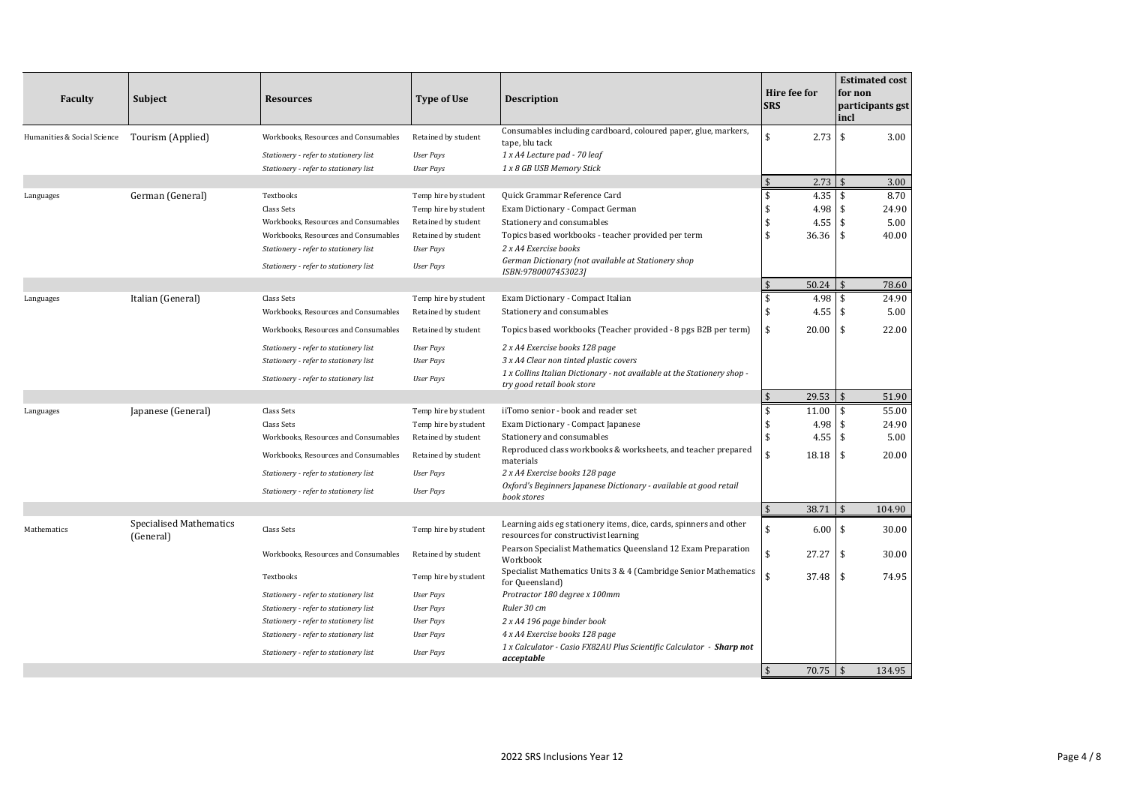| <b>Faculty</b>              | <b>Subject</b>                              | <b>Resources</b>                                                               | <b>Type of Use</b>                   | <b>Description</b>                                                                                          | Hire fee for<br><b>SRS</b> |           | for non<br>incl    | <b>Estimated cost</b><br>participants gst |
|-----------------------------|---------------------------------------------|--------------------------------------------------------------------------------|--------------------------------------|-------------------------------------------------------------------------------------------------------------|----------------------------|-----------|--------------------|-------------------------------------------|
| Humanities & Social Science | Tourism (Applied)                           | Workbooks, Resources and Consumables                                           | Retained by student                  | Consumables including cardboard, coloured paper, glue, markers,                                             | \$                         | 2.73      | $\mathbf{\hat{S}}$ | 3.00                                      |
|                             |                                             |                                                                                |                                      | tape, blu tack                                                                                              |                            |           |                    |                                           |
|                             |                                             | Stationery - refer to stationery list<br>Stationery - refer to stationery list | <b>User Pays</b><br><b>User Pays</b> | 1 x A4 Lecture pad - 70 leaf<br>1 x 8 GB USB Memory Stick                                                   |                            |           |                    |                                           |
|                             |                                             |                                                                                |                                      |                                                                                                             | $\mathbf{\hat{s}}$         | $2.73$ \$ |                    | 3.00                                      |
| Languages                   | German (General)                            | Textbooks                                                                      | Temp hire by student                 | Quick Grammar Reference Card                                                                                | \$                         | 4.35      | \$                 | 8.70                                      |
|                             |                                             | Class Sets                                                                     | Temp hire by student                 | Exam Dictionary - Compact German                                                                            | \$                         | 4.98      | \$                 | 24.90                                     |
|                             |                                             | Workbooks, Resources and Consumables                                           | Retained by student                  | Stationery and consumables                                                                                  | \$                         | 4.55      | \$                 | 5.00                                      |
|                             |                                             | Workbooks, Resources and Consumables                                           | Retained by student                  | Topics based workbooks - teacher provided per term                                                          | $\mathbf{\hat{S}}$         | 36.36     | $\mathbf{\hat{S}}$ | 40.00                                     |
|                             |                                             | Stationery - refer to stationery list                                          | <b>User Pays</b>                     | 2 x A4 Exercise books                                                                                       |                            |           |                    |                                           |
|                             |                                             | Stationery - refer to stationery list                                          | <b>User Pays</b>                     | German Dictionary (not available at Stationery shop<br>ISBN:9780007453023]                                  |                            |           |                    |                                           |
|                             |                                             |                                                                                |                                      |                                                                                                             | $\mathbf{\hat{S}}$         | 50.24     | $\mathbf{\hat{S}}$ | 78.60                                     |
| Languages                   | Italian (General)                           | Class Sets                                                                     | Temp hire by student                 | Exam Dictionary - Compact Italian                                                                           | \$                         | 4.98      | $\sqrt{5}$         | 24.90                                     |
|                             |                                             | Workbooks, Resources and Consumables                                           | Retained by student                  | Stationery and consumables                                                                                  | \$                         | 4.55      | \$                 | 5.00                                      |
|                             |                                             | Workbooks, Resources and Consumables                                           | Retained by student                  | Topics based workbooks (Teacher provided - 8 pgs B2B per term)                                              | \$                         | 20.00     | \$                 | 22.00                                     |
|                             |                                             | Stationery - refer to stationery list                                          | <b>User Pays</b>                     | 2 x A4 Exercise books 128 page                                                                              |                            |           |                    |                                           |
|                             |                                             | Stationery - refer to stationery list                                          | <b>User Pays</b>                     | 3 x A4 Clear non tinted plastic covers                                                                      |                            |           |                    |                                           |
|                             |                                             | Stationery - refer to stationery list                                          | <b>User Pays</b>                     | 1 x Collins Italian Dictionary - not available at the Stationery shop -<br>try good retail book store       |                            |           |                    |                                           |
|                             |                                             |                                                                                |                                      |                                                                                                             | \$                         | 29.53     | \$                 | 51.90                                     |
| Languages                   | Japanese (General)                          | Class Sets                                                                     | Temp hire by student                 | iiTomo senior - book and reader set                                                                         | \$                         | 11.00     | \$                 | 55.00                                     |
|                             |                                             | Class Sets                                                                     | Temp hire by student                 | Exam Dictionary - Compact Japanese                                                                          | \$                         | 4.98      | \$                 | 24.90                                     |
|                             |                                             | Workbooks, Resources and Consumables                                           | Retained by student                  | Stationery and consumables                                                                                  | \$                         | 4.55      | \$                 | 5.00                                      |
|                             |                                             | Workbooks, Resources and Consumables                                           | Retained by student                  | Reproduced class workbooks & worksheets, and teacher prepared<br>materials                                  | \$                         | 18.18     | $\mathsf{\$}$      | 20.00                                     |
|                             |                                             | Stationery - refer to stationery list                                          | <b>User Pays</b>                     | 2 x A4 Exercise books 128 page                                                                              |                            |           |                    |                                           |
|                             |                                             | Stationery - refer to stationery list                                          | <b>User Pays</b>                     | Oxford's Beginners Japanese Dictionary - available at good retail<br>book stores                            |                            |           |                    |                                           |
|                             |                                             |                                                                                |                                      |                                                                                                             | $\mathsf{\$}$              | 38.71     | $\mathfrak{S}$     | 104.90                                    |
| Mathematics                 | <b>Specialised Mathematics</b><br>(General) | Class Sets                                                                     | Temp hire by student                 | Learning aids eg stationery items, dice, cards, spinners and other<br>resources for constructivist learning | \$                         | 6.00      | <b>S</b>           | 30.00                                     |
|                             |                                             | Workbooks, Resources and Consumables                                           | Retained by student                  | Pearson Specialist Mathematics Queensland 12 Exam Preparation<br>Workbook                                   | \$                         | 27.27     | \$                 | 30.00                                     |
|                             |                                             | Textbooks                                                                      | Temp hire by student                 | Specialist Mathematics Units 3 & 4 (Cambridge Senior Mathematics<br>for Queensland)                         | \$                         | 37.48     | \$                 | 74.95                                     |
|                             |                                             | Stationery - refer to stationery list                                          | <b>User Pays</b>                     | Protractor 180 degree x 100mm                                                                               |                            |           |                    |                                           |
|                             |                                             | Stationery - refer to stationery list                                          | <b>User Pays</b>                     | Ruler 30 cm                                                                                                 |                            |           |                    |                                           |
|                             |                                             | Stationery - refer to stationery list                                          | <b>User Pays</b>                     | 2 x A4 196 page binder book                                                                                 |                            |           |                    |                                           |
|                             |                                             | Stationery - refer to stationery list                                          | <b>User Pays</b>                     | 4 x A4 Exercise books 128 page                                                                              |                            |           |                    |                                           |
|                             |                                             | Stationery - refer to stationery list                                          | <b>User Pays</b>                     | 1 x Calculator - Casio FX82AU Plus Scientific Calculator - Sharp not<br>acceptable                          |                            |           |                    |                                           |
|                             |                                             |                                                                                |                                      |                                                                                                             | $\mathbf{\hat{s}}$         |           |                    | 134.95                                    |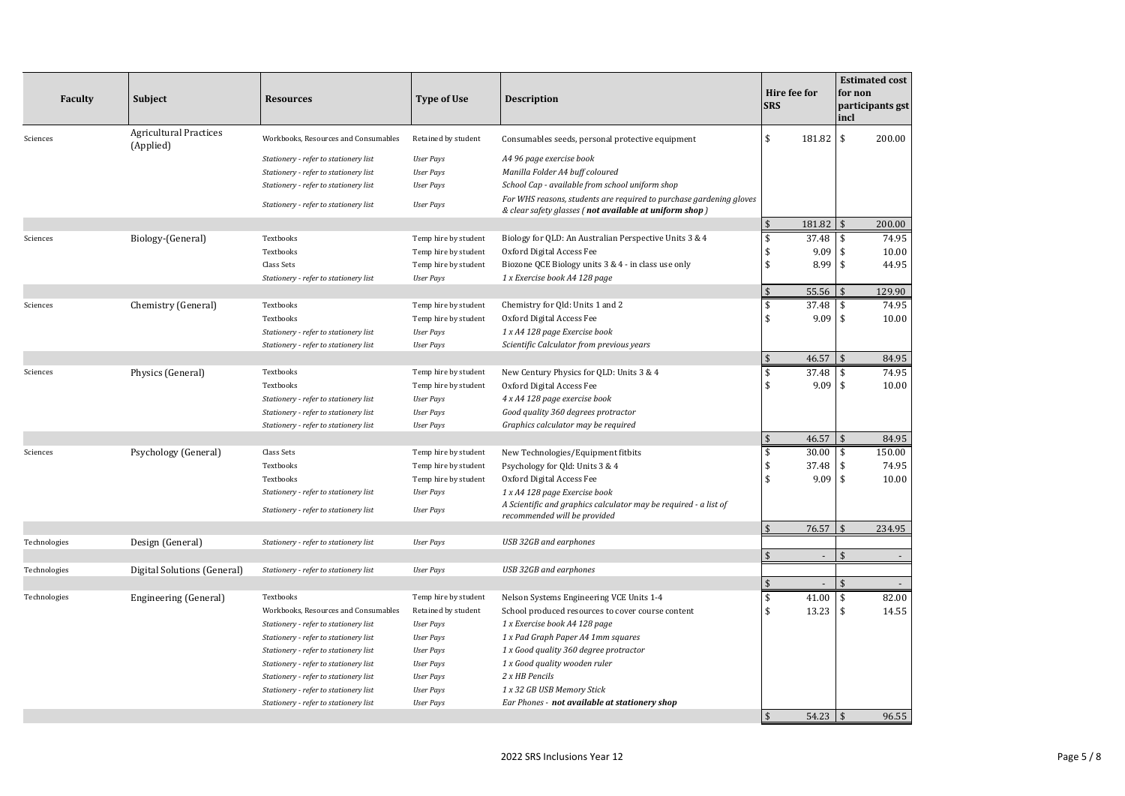| <b>Faculty</b> | <b>Subject</b>                             | <b>Resources</b>                                                                                                                                                                                                                                                                                                                    | <b>Type of Use</b>                                                                                                                                              | <b>Description</b>                                                                                                                                                                                                                                                                                   | Hire fee for<br><b>SRS</b> |                             | for non<br>incl            | <b>Estimated cost</b><br>participants gst |
|----------------|--------------------------------------------|-------------------------------------------------------------------------------------------------------------------------------------------------------------------------------------------------------------------------------------------------------------------------------------------------------------------------------------|-----------------------------------------------------------------------------------------------------------------------------------------------------------------|------------------------------------------------------------------------------------------------------------------------------------------------------------------------------------------------------------------------------------------------------------------------------------------------------|----------------------------|-----------------------------|----------------------------|-------------------------------------------|
| Sciences       | <b>Agricultural Practices</b><br>(Applied) | Workbooks, Resources and Consumables                                                                                                                                                                                                                                                                                                | Retained by student                                                                                                                                             | Consumables seeds, personal protective equipment                                                                                                                                                                                                                                                     | \$                         | 181.82                      | \$                         | 200.00                                    |
|                |                                            | Stationery - refer to stationery list<br>Stationery - refer to stationery list<br>Stationery - refer to stationery list<br>Stationery - refer to stationery list                                                                                                                                                                    | <b>User Pays</b><br><b>User Pays</b><br><b>User Pays</b><br><b>User Pays</b>                                                                                    | A4 96 page exercise book<br>Manilla Folder A4 buff coloured<br>School Cap - available from school uniform shop<br>For WHS reasons, students are required to purchase gardening gloves                                                                                                                |                            |                             |                            |                                           |
|                |                                            |                                                                                                                                                                                                                                                                                                                                     |                                                                                                                                                                 | & clear safety glasses (not available at uniform shop)                                                                                                                                                                                                                                               |                            |                             |                            |                                           |
|                |                                            |                                                                                                                                                                                                                                                                                                                                     |                                                                                                                                                                 |                                                                                                                                                                                                                                                                                                      | \$                         | 181.82                      |                            | 200.00                                    |
| Sciences       | Biology-(General)                          | Textbooks<br>Textbooks<br><b>Class Sets</b><br>Stationery - refer to stationery list                                                                                                                                                                                                                                                | Temp hire by student<br>Temp hire by student<br>Temp hire by student<br><b>User Pays</b>                                                                        | Biology for QLD: An Australian Perspective Units 3 & 4<br>Oxford Digital Access Fee<br>Biozone QCE Biology units 3 & 4 - in class use only<br>1 x Exercise book A4 128 page                                                                                                                          | \$<br>\$<br>\$             | 37.48<br>9.09<br>8.99       | \$<br>\$<br>\$             | 74.95<br>10.00<br>44.95                   |
|                |                                            |                                                                                                                                                                                                                                                                                                                                     |                                                                                                                                                                 |                                                                                                                                                                                                                                                                                                      | \$                         | 55.56                       |                            | 129.90                                    |
| Sciences       | Chemistry (General)                        | Textbooks<br>Textbooks<br>Stationery - refer to stationery list<br>Stationery - refer to stationery list                                                                                                                                                                                                                            | Temp hire by student<br>Temp hire by student<br><b>User Pays</b><br><b>User Pays</b>                                                                            | Chemistry for Qld: Units 1 and 2<br>Oxford Digital Access Fee<br>1 x A4 128 page Exercise book<br>Scientific Calculator from previous years                                                                                                                                                          | \$<br>\$                   | 37.48<br>9.09               | \$<br>\$                   | 74.95<br>10.00                            |
|                |                                            |                                                                                                                                                                                                                                                                                                                                     |                                                                                                                                                                 |                                                                                                                                                                                                                                                                                                      | \$                         | 46.57                       |                            | 84.95                                     |
| Sciences       | Physics (General)                          | Textbooks<br>Textbooks<br>Stationery - refer to stationery list<br>Stationery - refer to stationery list<br>Stationery - refer to stationery list                                                                                                                                                                                   | Temp hire by student<br>Temp hire by student<br><b>User Pays</b><br><b>User Pays</b><br><b>User Pays</b>                                                        | New Century Physics for QLD: Units 3 & 4<br>Oxford Digital Access Fee<br>4 x A4 128 page exercise book<br>Good quality 360 degrees protractor<br>Graphics calculator may be required                                                                                                                 | \$<br>\$                   | 37.48<br>9.09               | \$<br>\$                   | 74.95<br>10.00                            |
|                |                                            |                                                                                                                                                                                                                                                                                                                                     |                                                                                                                                                                 |                                                                                                                                                                                                                                                                                                      | $\mathbf{\hat{S}}$         | 46.57                       |                            | 84.95                                     |
| Sciences       | Psychology (General)                       | Class Sets<br>Textbooks<br>Textbooks<br>Stationery - refer to stationery list<br>Stationery - refer to stationery list                                                                                                                                                                                                              | Temp hire by student<br>Temp hire by student<br>Temp hire by student<br><b>User Pays</b><br><b>User Pays</b>                                                    | New Technologies/Equipment fitbits<br>Psychology for Qld: Units 3 & 4<br>Oxford Digital Access Fee<br>1 x A4 128 page Exercise book<br>A Scientific and graphics calculator may be required - a list of<br>recommended will be provided                                                              | \$<br>\$<br>\$             | 30.00<br>37.48<br>9.09      | \$<br>\$<br>$\mathfrak{s}$ | 150.00<br>74.95<br>10.00                  |
|                |                                            |                                                                                                                                                                                                                                                                                                                                     |                                                                                                                                                                 |                                                                                                                                                                                                                                                                                                      | $\mathsf{\$}$              | 76.57                       |                            | 234.95                                    |
| Technologies   | Design (General)                           | Stationery - refer to stationery list                                                                                                                                                                                                                                                                                               | <b>User Pays</b>                                                                                                                                                | USB 32GB and earphones                                                                                                                                                                                                                                                                               |                            |                             |                            |                                           |
|                |                                            |                                                                                                                                                                                                                                                                                                                                     |                                                                                                                                                                 |                                                                                                                                                                                                                                                                                                      | \$                         | $\mathcal{L}_{\mathcal{A}}$ |                            | $\sim$                                    |
| Technologies   | Digital Solutions (General)                | Stationery - refer to stationery list                                                                                                                                                                                                                                                                                               | <b>User Pays</b>                                                                                                                                                | USB 32GB and earphones                                                                                                                                                                                                                                                                               |                            |                             |                            |                                           |
| Technologies   | Engineering (General)                      | Textbooks                                                                                                                                                                                                                                                                                                                           | Temp hire by student                                                                                                                                            | Nelson Systems Engineering VCE Units 1-4                                                                                                                                                                                                                                                             | $\sqrt{2}$<br>\$           | $\sim$<br>41.00             | $\mathbf{\hat{S}}$<br>\$   | 82.00                                     |
|                |                                            | Workbooks, Resources and Consumables<br>Stationery - refer to stationery list<br>Stationery - refer to stationery list<br>Stationery - refer to stationery list<br>Stationery - refer to stationery list<br>Stationery - refer to stationery list<br>Stationery - refer to stationery list<br>Stationery - refer to stationery list | Retained by student<br><b>User Pays</b><br><b>User Pays</b><br><b>User Pays</b><br><b>User Pays</b><br><b>User Pays</b><br><b>User Pays</b><br><b>User Pays</b> | School produced resources to cover course content<br>1 x Exercise book A4 128 page<br>1 x Pad Graph Paper A4 1mm squares<br>1 x Good quality 360 degree protractor<br>1 x Good quality wooden ruler<br>2 x HB Pencils<br>1 x 32 GB USB Memory Stick<br>Ear Phones - not available at stationery shop | \$                         | 13.23                       | \$                         | 14.55                                     |
|                |                                            |                                                                                                                                                                                                                                                                                                                                     |                                                                                                                                                                 |                                                                                                                                                                                                                                                                                                      | $\mathfrak{s}$             | 54.23                       |                            | 96.55                                     |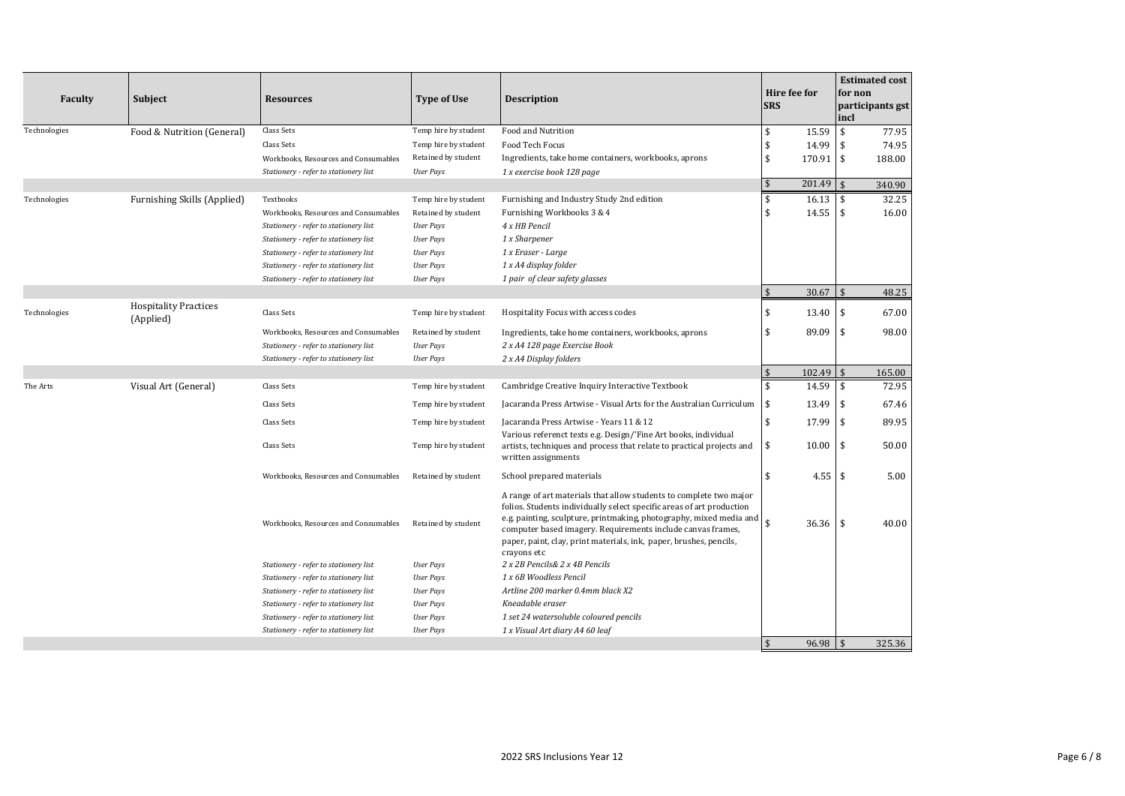| <b>Faculty</b> | <b>Subject</b>                            | <b>Resources</b>                      | Type of Use          | <b>Description</b>                                                                                                                                                                                                                                                                                                                                                     | Hire fee for<br><b>SRS</b> |        | for non<br>incl    | <b>Estimated cost</b><br>participants gst |
|----------------|-------------------------------------------|---------------------------------------|----------------------|------------------------------------------------------------------------------------------------------------------------------------------------------------------------------------------------------------------------------------------------------------------------------------------------------------------------------------------------------------------------|----------------------------|--------|--------------------|-------------------------------------------|
| Technologies   | Food & Nutrition (General)                | <b>Class Sets</b>                     | Temp hire by student | Food and Nutrition                                                                                                                                                                                                                                                                                                                                                     | \$                         | 15.59  | \$                 | 77.95                                     |
|                |                                           | <b>Class Sets</b>                     | Temp hire by student | Food Tech Focus                                                                                                                                                                                                                                                                                                                                                        | \$                         | 14.99  | \$                 | 74.95                                     |
|                |                                           | Workbooks, Resources and Consumables  | Retained by student  | Ingredients, take home containers, workbooks, aprons                                                                                                                                                                                                                                                                                                                   | \$                         | 170.91 | $\sqrt{5}$         | 188.00                                    |
|                |                                           | Stationery - refer to stationery list | <b>User Pays</b>     | 1 x exercise book 128 page                                                                                                                                                                                                                                                                                                                                             |                            |        |                    |                                           |
|                |                                           |                                       |                      |                                                                                                                                                                                                                                                                                                                                                                        | \$                         | 201.49 | $\mathbf{\hat{s}}$ | 340.90                                    |
| Technologies   | Furnishing Skills (Applied)               | Textbooks                             | Temp hire by student | Furnishing and Industry Study 2nd edition                                                                                                                                                                                                                                                                                                                              | \$                         | 16.13  | \$                 | 32.25                                     |
|                |                                           | Workbooks, Resources and Consumables  | Retained by student  | Furnishing Workbooks 3 & 4                                                                                                                                                                                                                                                                                                                                             | $\mathbf{\hat{S}}$         | 14.55  | \$                 | 16.00                                     |
|                |                                           | Stationery - refer to stationery list | <b>User Pays</b>     | 4 x HB Pencil                                                                                                                                                                                                                                                                                                                                                          |                            |        |                    |                                           |
|                |                                           | Stationery - refer to stationery list | <b>User Pays</b>     | 1 x Sharpener                                                                                                                                                                                                                                                                                                                                                          |                            |        |                    |                                           |
|                |                                           | Stationery - refer to stationery list | <b>User Pays</b>     | 1 x Eraser - Large                                                                                                                                                                                                                                                                                                                                                     |                            |        |                    |                                           |
|                |                                           | Stationery - refer to stationery list | <b>User Pays</b>     | 1 x A4 display folder                                                                                                                                                                                                                                                                                                                                                  |                            |        |                    |                                           |
|                |                                           | Stationery - refer to stationery list | <b>User Pays</b>     | 1 pair of clear safety glasses                                                                                                                                                                                                                                                                                                                                         |                            |        |                    |                                           |
|                |                                           |                                       |                      |                                                                                                                                                                                                                                                                                                                                                                        | $\mathsf{\$}$              | 30.67  | $\mathsf{\$}$      | 48.25                                     |
| Technologies   | <b>Hospitality Practices</b><br>(Applied) | Class Sets                            | Temp hire by student | Hospitality Focus with access codes                                                                                                                                                                                                                                                                                                                                    | $\mathbf{\hat{S}}$         | 13.40  | \$                 | 67.00                                     |
|                |                                           | Workbooks, Resources and Consumables  | Retained by student  | Ingredients, take home containers, workbooks, aprons                                                                                                                                                                                                                                                                                                                   | \$                         | 89.09  | \$                 | 98.00                                     |
|                |                                           | Stationery - refer to stationery list | <b>User Pays</b>     | 2 x A4 128 page Exercise Book                                                                                                                                                                                                                                                                                                                                          |                            |        |                    |                                           |
|                |                                           | Stationery - refer to stationery list | <b>User Pays</b>     | 2 x A4 Display folders                                                                                                                                                                                                                                                                                                                                                 |                            |        |                    |                                           |
|                |                                           |                                       |                      |                                                                                                                                                                                                                                                                                                                                                                        | $\sqrt{2}$                 | 102.49 | \$                 | 165.00                                    |
| The Arts       | Visual Art (General)                      | Class Sets                            | Temp hire by student | Cambridge Creative Inquiry Interactive Textbook                                                                                                                                                                                                                                                                                                                        | \$                         | 14.59  | \$                 | 72.95                                     |
|                |                                           | <b>Class Sets</b>                     | Temp hire by student | Jacaranda Press Artwise - Visual Arts for the Australian Curriculum                                                                                                                                                                                                                                                                                                    | \$                         | 13.49  | \$                 | 67.46                                     |
|                |                                           | <b>Class Sets</b>                     | Temp hire by student | Jacaranda Press Artwise - Years 11 & 12<br>Various referenct texts e.g. Design/'Fine Art books, individual                                                                                                                                                                                                                                                             | $\mathbf{\hat{S}}$         | 17.99  | \$                 | 89.95                                     |
|                |                                           | Class Sets                            | Temp hire by student | artists, techniques and process that relate to practical projects and<br>written assignments                                                                                                                                                                                                                                                                           | \$                         | 10.00  | \$                 | 50.00                                     |
|                |                                           | Workbooks, Resources and Consumables  | Retained by student  | School prepared materials                                                                                                                                                                                                                                                                                                                                              | \$                         | 4.55   | \$                 | 5.00                                      |
|                |                                           | Workbooks, Resources and Consumables  | Retained by student  | A range of art materials that allow students to complete two major<br>folios. Students individually select specific areas of art production<br>e.g. painting, sculpture, printmaking, photography, mixed media and<br>computer based imagery. Requirements include canvas frames,<br>paper, paint, clay, print materials, ink, paper, brushes, pencils,<br>crayons etc | $\hat{\mathbf{S}}$         | 36.36  | \$                 | 40.00                                     |
|                |                                           | Stationery - refer to stationery list | <b>User Pays</b>     | 2 x 2B Pencils& 2 x 4B Pencils                                                                                                                                                                                                                                                                                                                                         |                            |        |                    |                                           |
|                |                                           | Stationery - refer to stationery list | <b>User Pays</b>     | 1 x 6B Woodless Pencil                                                                                                                                                                                                                                                                                                                                                 |                            |        |                    |                                           |
|                |                                           | Stationery - refer to stationery list | <b>User Pays</b>     | Artline 200 marker 0.4mm black X2                                                                                                                                                                                                                                                                                                                                      |                            |        |                    |                                           |
|                |                                           | Stationery - refer to stationery list | <b>User Pays</b>     | Kneadable eraser                                                                                                                                                                                                                                                                                                                                                       |                            |        |                    |                                           |
|                |                                           | Stationery - refer to stationery list | <b>User Pays</b>     | 1 set 24 watersoluble coloured pencils                                                                                                                                                                                                                                                                                                                                 |                            |        |                    |                                           |
|                |                                           | Stationery - refer to stationery list | <b>User Pays</b>     | 1 x Visual Art diary A4 60 leaf                                                                                                                                                                                                                                                                                                                                        |                            |        |                    |                                           |
|                |                                           |                                       |                      |                                                                                                                                                                                                                                                                                                                                                                        | $\mathsf{\$}$              | 96.98  | $\mathbf{\hat{S}}$ | 325.36                                    |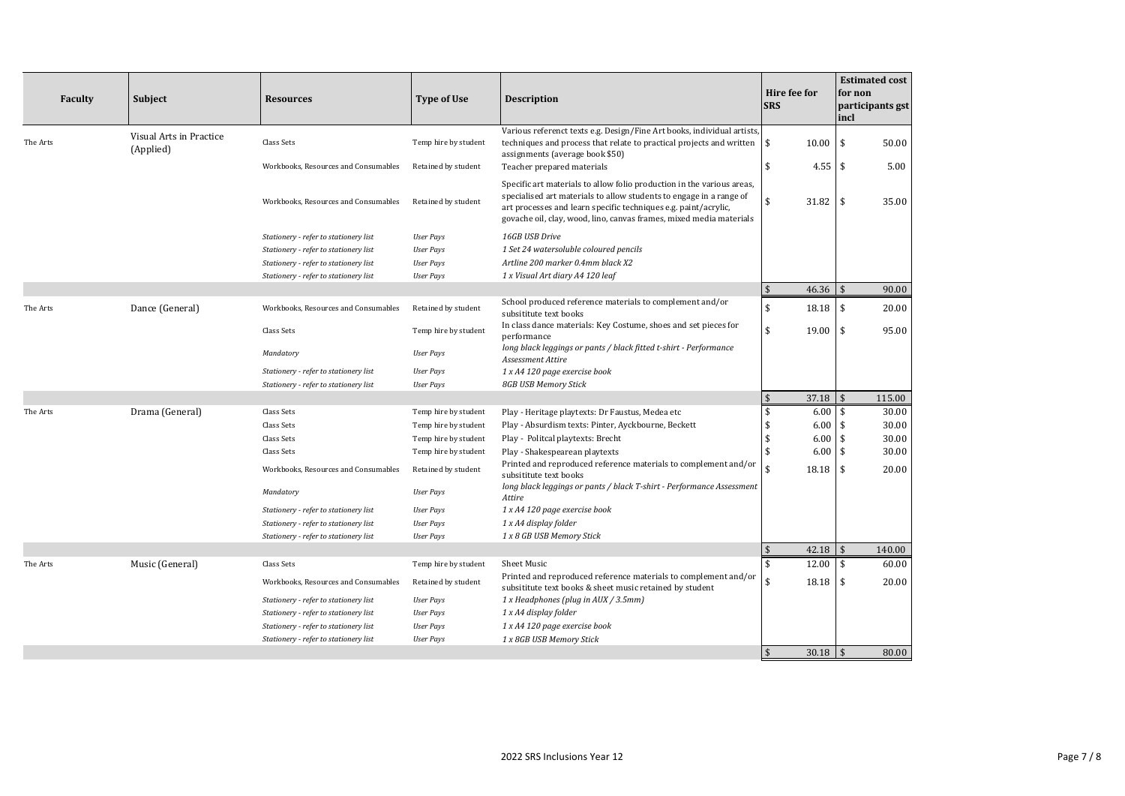| <b>Faculty</b> | <b>Subject</b>                       | <b>Resources</b>                      | Type of Use          | <b>Description</b>                                                                                                                                                                                                                                                                      | Hire fee for<br><b>SRS</b>     | <b>Estimated cost</b><br>for non<br>participants gst<br>incl |
|----------------|--------------------------------------|---------------------------------------|----------------------|-----------------------------------------------------------------------------------------------------------------------------------------------------------------------------------------------------------------------------------------------------------------------------------------|--------------------------------|--------------------------------------------------------------|
| The Arts       | Visual Arts in Practice<br>(Applied) | Class Sets                            | Temp hire by student | Various referenct texts e.g. Design/Fine Art books, individual artists,<br>techniques and process that relate to practical projects and written<br>assignments (average book \$50)                                                                                                      | \$<br>10.00                    | 50.00<br>\$                                                  |
|                |                                      | Workbooks, Resources and Consumables  | Retained by student  | Teacher prepared materials                                                                                                                                                                                                                                                              | \$                             | $4.55$ \$<br>5.00                                            |
|                |                                      | Workbooks, Resources and Consumables  | Retained by student  | Specific art materials to allow folio production in the various areas,<br>specialised art materials to allow students to engage in a range of<br>art processes and learn specific techniques e.g. paint/acrylic,<br>govache oil, clay, wood, lino, canvas frames, mixed media materials | $\mathbf{\hat{S}}$<br>31.82    | 35.00<br>l \$                                                |
|                |                                      | Stationery - refer to stationery list | <b>User Pays</b>     | 16GB USB Drive                                                                                                                                                                                                                                                                          |                                |                                                              |
|                |                                      | Stationery - refer to stationery list | <b>User Pays</b>     | 1 Set 24 watersoluble coloured pencils                                                                                                                                                                                                                                                  |                                |                                                              |
|                |                                      | Stationery - refer to stationery list | <b>User Pays</b>     | Artline 200 marker 0.4mm black X2                                                                                                                                                                                                                                                       |                                |                                                              |
|                |                                      | Stationery - refer to stationery list | <b>User Pays</b>     | 1 x Visual Art diary A4 120 leaf                                                                                                                                                                                                                                                        |                                |                                                              |
|                |                                      |                                       |                      |                                                                                                                                                                                                                                                                                         | $\mathbf{\hat{S}}$<br>46.36    | $\mathbf{\hat{S}}$<br>90.00                                  |
| The Arts       | Dance (General)                      | Workbooks, Resources and Consumables  | Retained by student  | School produced reference materials to complement and/or<br>subsititute text books                                                                                                                                                                                                      | $\mathbf{\hat{S}}$<br>18.18    | $\overline{\mathbf{s}}$<br>20.00                             |
|                |                                      | Class Sets                            | Temp hire by student | In class dance materials: Key Costume, shoes and set pieces for<br>performance                                                                                                                                                                                                          | \$<br>19.00                    | $\overline{\mathbf{S}}$<br>95.00                             |
|                |                                      | Mandatory                             | <b>User Pays</b>     | long black leggings or pants / black fitted t-shirt - Performance<br>Assessment Attire                                                                                                                                                                                                  |                                |                                                              |
|                |                                      | Stationery - refer to stationery list | <b>User Pays</b>     | 1 x A4 120 page exercise book                                                                                                                                                                                                                                                           |                                |                                                              |
|                |                                      | Stationery - refer to stationery list | <b>User Pays</b>     | 8GB USB Memory Stick                                                                                                                                                                                                                                                                    |                                |                                                              |
|                |                                      |                                       |                      |                                                                                                                                                                                                                                                                                         | $\mathfrak{s}$<br>37.18        | $\mathbf{\hat{S}}$<br>115.00                                 |
| The Arts       | Drama (General)                      | Class Sets                            | Temp hire by student | Play - Heritage playtexts: Dr Faustus, Medea etc                                                                                                                                                                                                                                        | \$<br>6.00                     | 30.00<br>-\$                                                 |
|                |                                      | Class Sets                            | Temp hire by student | Play - Absurdism texts: Pinter, Ayckbourne, Beckett                                                                                                                                                                                                                                     | 6.00<br>\$                     | 30.00<br>-\$                                                 |
|                |                                      | Class Sets                            | Temp hire by student | Play - Politcal playtexts: Brecht                                                                                                                                                                                                                                                       | \$<br>6.00                     | \$<br>30.00                                                  |
|                |                                      | Class Sets                            | Temp hire by student | Play - Shakespearean playtexts                                                                                                                                                                                                                                                          | \$<br>6.00                     | $\mathbf{\hat{s}}$<br>30.00                                  |
|                |                                      | Workbooks, Resources and Consumables  | Retained by student  | Printed and reproduced reference materials to complement and/or<br>subsititute text books                                                                                                                                                                                               | \$<br>18.18                    | 20.00<br>-\$                                                 |
|                |                                      | Mandatory                             | User Pays            | long black leggings or pants / black T-shirt - Performance Assessment<br>Attire                                                                                                                                                                                                         |                                |                                                              |
|                |                                      | Stationery - refer to stationery list | <b>User Pays</b>     | 1 x A4 120 page exercise book                                                                                                                                                                                                                                                           |                                |                                                              |
|                |                                      | Stationery - refer to stationery list | User Pays            | 1 x A4 display folder                                                                                                                                                                                                                                                                   |                                |                                                              |
|                |                                      | Stationery - refer to stationery list | <b>User Pays</b>     | 1 x 8 GB USB Memory Stick                                                                                                                                                                                                                                                               |                                |                                                              |
|                |                                      |                                       |                      |                                                                                                                                                                                                                                                                                         | $\mathfrak{s}$<br>42.18        | $\mathbf{\hat{s}}$<br>140.00                                 |
| The Arts       | Music (General)                      | Class Sets                            | Temp hire by student | <b>Sheet Music</b>                                                                                                                                                                                                                                                                      | \$<br>12.00                    | 60.00<br>\$                                                  |
|                |                                      | Workbooks, Resources and Consumables  | Retained by student  | Printed and reproduced reference materials to complement and/or<br>subsititute text books & sheet music retained by student                                                                                                                                                             | \$<br>18.18                    | 20.00<br>l \$                                                |
|                |                                      | Stationery - refer to stationery list | <b>User Pays</b>     | 1 x Headphones (plug in AUX / 3.5mm)                                                                                                                                                                                                                                                    |                                |                                                              |
|                |                                      | Stationery - refer to stationery list | <b>User Pays</b>     | 1 x A4 display folder                                                                                                                                                                                                                                                                   |                                |                                                              |
|                |                                      | Stationery - refer to stationery list | <b>User Pays</b>     | 1 x A4 120 page exercise book                                                                                                                                                                                                                                                           |                                |                                                              |
|                |                                      | Stationery - refer to stationery list | <b>User Pays</b>     | 1 x 8GB USB Memory Stick                                                                                                                                                                                                                                                                |                                |                                                              |
|                |                                      |                                       |                      |                                                                                                                                                                                                                                                                                         | $\mathfrak{s}$<br>$30.18$   \$ | 80.00                                                        |